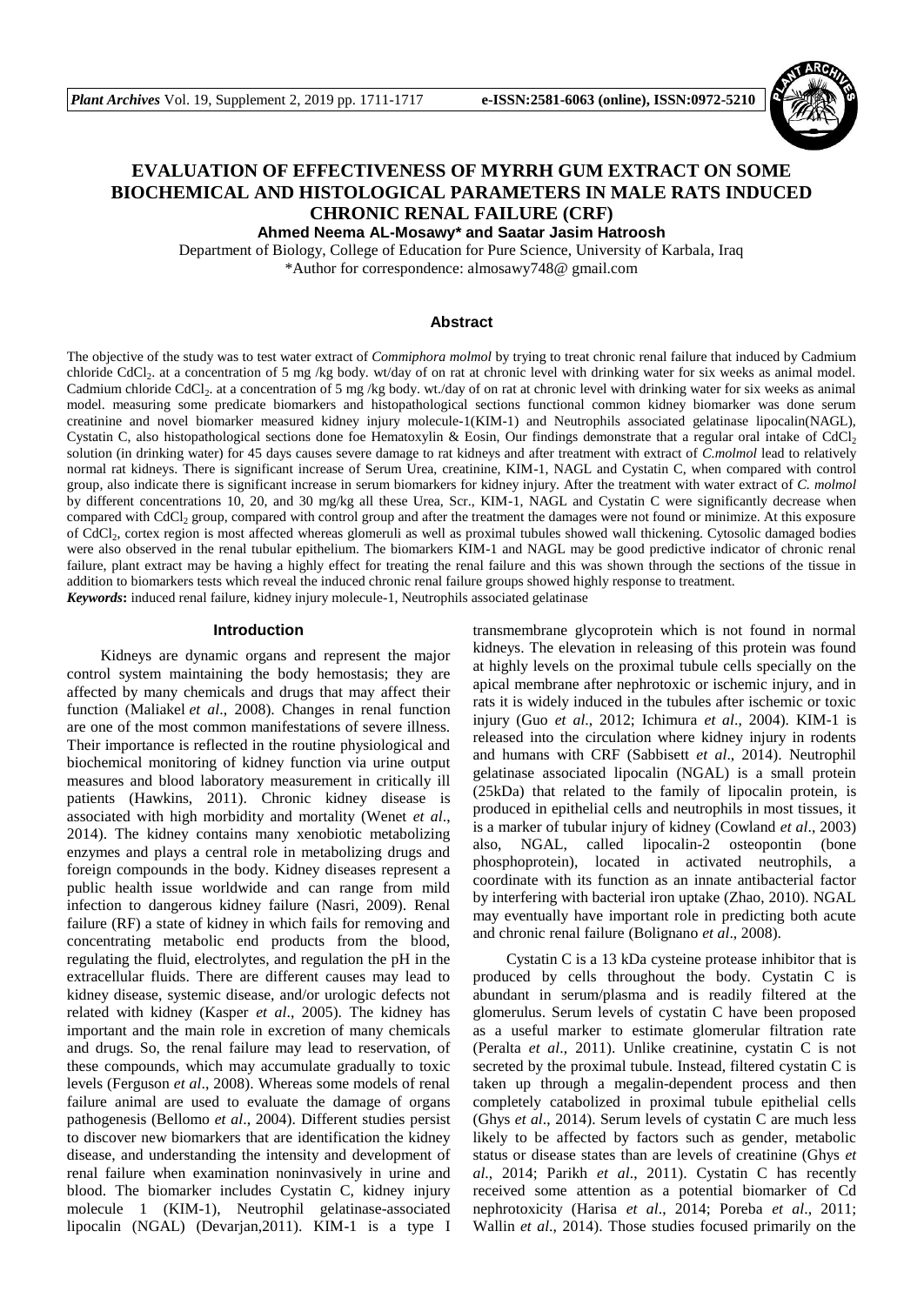

## **EVALUATION OF EFFECTIVENESS OF MYRRH GUM EXTRACT ON SOME BIOCHEMICAL AND HISTOLOGICAL PARAMETERS IN MALE RATS INDUCED CHRONIC RENAL FAILURE (CRF)**

**Ahmed Neema AL-Mosawy\* and Saatar Jasim Hatroosh**

Department of Biology, College of Education for Pure Science, University of Karbala, Iraq \*Author for correspondence: almosawy748@ gmail.com

### **Abstract**

The objective of the study was to test water extract of *Commiphora molmol* by trying to treat chronic renal failure that induced by Cadmium chloride CdCl<sub>2</sub>. at a concentration of 5 mg /kg body. wt/day of on rat at chronic level with drinking water for six weeks as animal model. Cadmium chloride CdCl<sub>2</sub>. at a concentration of 5 mg /kg body. wt./day of on rat at chronic level with drinking water for six weeks as animal model. measuring some predicate biomarkers and histopathological sections functional common kidney biomarker was done serum creatinine and novel biomarker measured kidney injury molecule-1(KIM-1) and Neutrophils associated gelatinase lipocalin(NAGL), Cystatin C, also histopathological sections done foe Hematoxylin & Eosin, Our findings demonstrate that a regular oral intake of CdCl<sup>2</sup> solution (in drinking water) for 45 days causes severe damage to rat kidneys and after treatment with extract of *C.molmol* lead to relatively normal rat kidneys. There is significant increase of Serum Urea, creatinine, KIM-1, NAGL and Cystatin C, when compared with control group, also indicate there is significant increase in serum biomarkers for kidney injury. After the treatment with water extract of *C. molmol* by different concentrations 10, 20, and 30 mg/kg all these Urea, Scr., KIM-1, NAGL and Cystatin C were significantly decrease when compared with CdCl<sub>2</sub> group, compared with control group and after the treatment the damages were not found or minimize. At this exposure of CdCl<sub>2</sub>, cortex region is most affected whereas glomeruli as well as proximal tubules showed wall thickening. Cytosolic damaged bodies were also observed in the renal tubular epithelium. The biomarkers KIM-1 and NAGL may be good predictive indicator of chronic renal failure, plant extract may be having a highly effect for treating the renal failure and this was shown through the sections of the tissue in addition to biomarkers tests which reveal the induced chronic renal failure groups showed highly response to treatment. *Keywords***:** induced renal failure, kidney injury molecule-1, Neutrophils associated gelatinase

#### **Introduction**

Kidneys are dynamic organs and represent the major control system maintaining the body hemostasis; they are affected by many chemicals and drugs that may affect their function (Maliakel *et al.*, 2008). Changes in renal function are one of the most common manifestations of severe illness. Their importance is reflected in the routine physiological and biochemical monitoring of kidney function via urine output measures and blood laboratory measurement in critically ill patients (Hawkins, 2011). Chronic kidney disease is associated with high morbidity and mortality (Wenet *et al*., 2014). The kidney contains many xenobiotic metabolizing enzymes and plays a central role in metabolizing drugs and foreign compounds in the body. Kidney diseases represent a public health issue worldwide and can range from mild infection to dangerous kidney failure (Nasri, 2009). Renal failure (RF) a state of kidney in which fails for removing and concentrating metabolic end products from the blood, regulating the fluid, electrolytes, and regulation the pH in the extracellular fluids. There are different causes may lead to kidney disease, systemic disease, and/or urologic defects not related with kidney (Kasper *et al*., 2005). The kidney has important and the main role in excretion of many chemicals and drugs. So, the renal failure may lead to reservation, of these compounds, which may accumulate gradually to toxic levels (Ferguson *et al*., 2008). Whereas some models of renal failure animal are used to evaluate the damage of organs pathogenesis (Bellomo *et al*., 2004). Different studies persist to discover new biomarkers that are identification the kidney disease, and understanding the intensity and development of renal failure when examination noninvasively in urine and blood. The biomarker includes Cystatin C, kidney injury molecule 1 (KIM-1), Neutrophil gelatinase-associated lipocalin (NGAL) (Devarjan,2011). KIM-1 is a type I

transmembrane glycoprotein which is not found in normal kidneys. The elevation in releasing of this protein was found at highly levels on the proximal tubule cells specially on the apical membrane after nephrotoxic or ischemic injury, and in rats it is widely induced in the tubules after ischemic or toxic injury (Guo *et al*., 2012; Ichimura *et al*., 2004). KIM-1 is released into the circulation where kidney injury in rodents and humans with CRF (Sabbisett *et al*., 2014). Neutrophil gelatinase associated lipocalin (NGAL) is a small protein (25kDa) that related to the family of lipocalin protein, is produced in epithelial cells and neutrophils in most tissues, it is a marker of tubular injury of kidney (Cowland *et al*., 2003) also, NGAL, called lipocalin-2 osteopontin (bone phosphoprotein), located in activated neutrophils, a coordinate with its function as an innate antibacterial factor by interfering with bacterial iron uptake (Zhao, 2010). NGAL may eventually have important role in predicting both acute and chronic renal failure (Bolignano *et al*., 2008).

Cystatin C is a 13 kDa cysteine protease inhibitor that is produced by cells throughout the body. Cystatin C is abundant in serum/plasma and is readily filtered at the glomerulus. Serum levels of cystatin C have been proposed as a useful marker to estimate glomerular filtration rate (Peralta *et al*., 2011). Unlike creatinine, cystatin C is not secreted by the proximal tubule. Instead, filtered cystatin C is taken up through a megalin-dependent process and then completely catabolized in proximal tubule epithelial cells (Ghys *et al*., 2014). Serum levels of cystatin C are much less likely to be affected by factors such as gender, metabolic status or disease states than are levels of creatinine (Ghys *et al*., 2014; Parikh *et al*., 2011). Cystatin C has recently received some attention as a potential biomarker of Cd nephrotoxicity (Harisa *et al*., 2014; Poreba *et al*., 2011; Wallin *et al*., 2014). Those studies focused primarily on the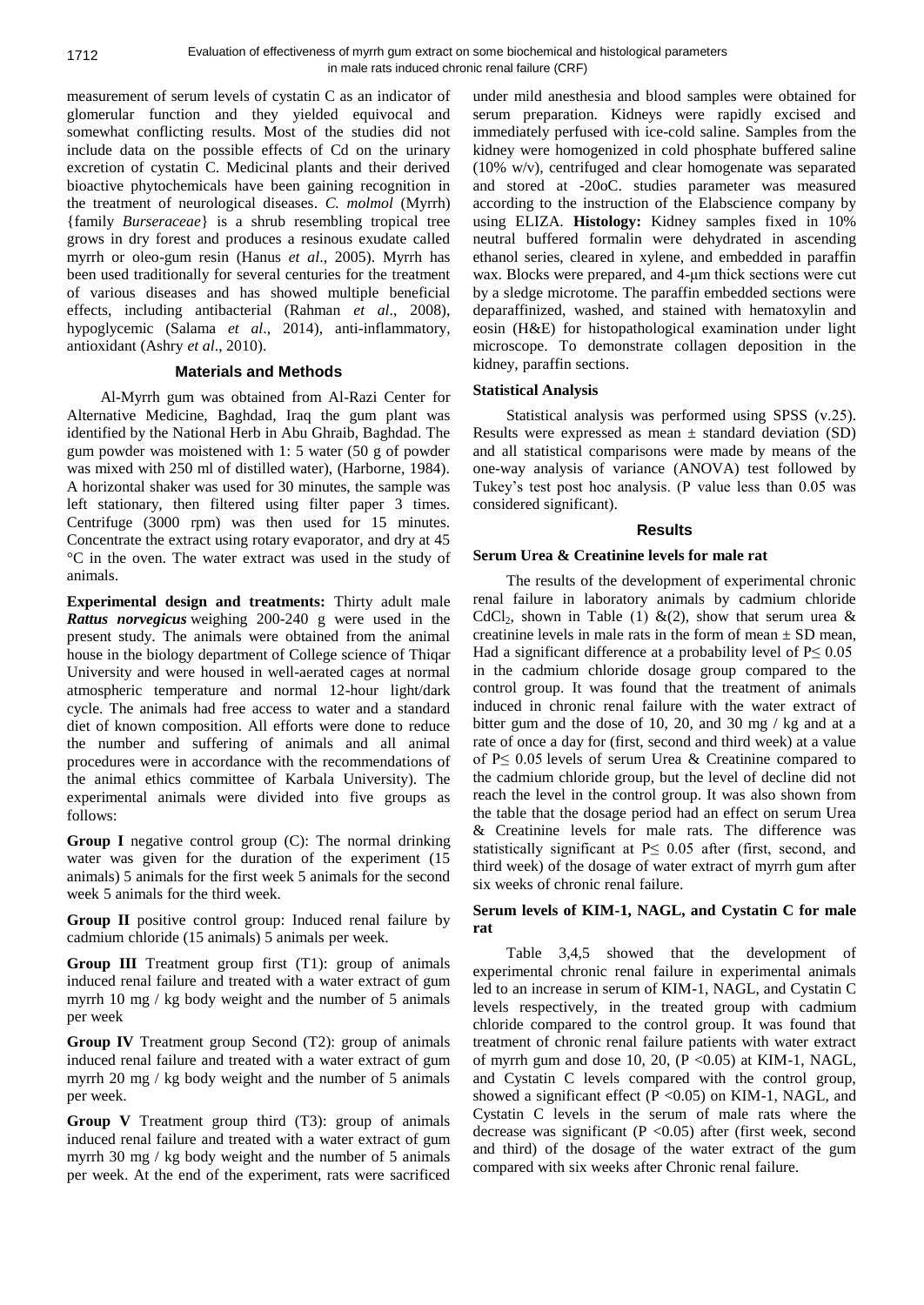measurement of serum levels of cystatin C as an indicator of glomerular function and they yielded equivocal and somewhat conflicting results. Most of the studies did not include data on the possible effects of Cd on the urinary excretion of cystatin C. Medicinal plants and their derived bioactive phytochemicals have been gaining recognition in the treatment of neurological diseases. *C. molmol* (Myrrh) {family *Burseraceae*} is a shrub resembling tropical tree grows in dry forest and produces a resinous exudate called myrrh or oleo-gum resin (Hanus *et al*., 2005). Myrrh has been used traditionally for several centuries for the treatment of various diseases and has showed multiple beneficial effects, including antibacterial (Rahman *et al*., 2008), hypoglycemic (Salama *et al*., 2014), anti-inflammatory, antioxidant (Ashry *et al*., 2010).

### **Materials and Methods**

Al-Myrrh gum was obtained from Al-Razi Center for Alternative Medicine, Baghdad, Iraq the gum plant was identified by the National Herb in Abu Ghraib, Baghdad. The gum powder was moistened with 1: 5 water (50 g of powder was mixed with 250 ml of distilled water), (Harborne, 1984). A horizontal shaker was used for 30 minutes, the sample was left stationary, then filtered using filter paper 3 times. Centrifuge (3000 rpm) was then used for 15 minutes. Concentrate the extract using rotary evaporator, and dry at 45 °C in the oven. The water extract was used in the study of animals.

**Experimental design and treatments:** Thirty adult male *Rattus norvegicus* weighing 200-240 g were used in the present study. The animals were obtained from the animal house in the biology department of College science of Thiqar University and were housed in well-aerated cages at normal atmospheric temperature and normal 12-hour light/dark cycle. The animals had free access to water and a standard diet of known composition. All efforts were done to reduce the number and suffering of animals and all animal procedures were in accordance with the recommendations of the animal ethics committee of Karbala University). The experimental animals were divided into five groups as follows:

**Group I** negative control group (C): The normal drinking water was given for the duration of the experiment (15 animals) 5 animals for the first week 5 animals for the second week 5 animals for the third week.

**Group II** positive control group: Induced renal failure by cadmium chloride (15 animals) 5 animals per week.

**Group III** Treatment group first (T1): group of animals induced renal failure and treated with a water extract of gum myrrh 10 mg / kg body weight and the number of 5 animals per week

**Group IV** Treatment group Second (T2): group of animals induced renal failure and treated with a water extract of gum myrrh 20 mg / kg body weight and the number of 5 animals per week.

**Group V** Treatment group third (T3): group of animals induced renal failure and treated with a water extract of gum myrrh 30 mg / kg body weight and the number of 5 animals per week. At the end of the experiment, rats were sacrificed under mild anesthesia and blood samples were obtained for serum preparation. Kidneys were rapidly excised and immediately perfused with ice-cold saline. Samples from the kidney were homogenized in cold phosphate buffered saline (10% w/v), centrifuged and clear homogenate was separated and stored at -20oC. studies parameter was measured according to the instruction of the Elabscience company by using ELIZA. **Histology:** Kidney samples fixed in 10% neutral buffered formalin were dehydrated in ascending ethanol series, cleared in xylene, and embedded in paraffin wax. Blocks were prepared, and 4-μm thick sections were cut by a sledge microtome. The paraffin embedded sections were deparaffinized, washed, and stained with hematoxylin and eosin (H&E) for histopathological examination under light microscope. To demonstrate collagen deposition in the kidney, paraffin sections.

### **Statistical Analysis**

Statistical analysis was performed using SPSS (v.25). Results were expressed as mean  $\pm$  standard deviation (SD) and all statistical comparisons were made by means of the one-way analysis of variance (ANOVA) test followed by Tukey's test post hoc analysis. (P value less than 0.05 was considered significant).

### **Results**

## **Serum Urea & Creatinine levels for male rat**

The results of the development of experimental chronic renal failure in laboratory animals by cadmium chloride CdCl<sub>2</sub>, shown in Table (1) &(2), show that serum urea & creatinine levels in male rats in the form of mean  $\pm$  SD mean, Had a significant difference at a probability level of  $P \le 0.05$ in the cadmium chloride dosage group compared to the control group. It was found that the treatment of animals induced in chronic renal failure with the water extract of bitter gum and the dose of 10, 20, and 30 mg / kg and at a rate of once a day for (first, second and third week) at a value of P≤ 0.05 levels of serum Urea & Creatinine compared to the cadmium chloride group, but the level of decline did not reach the level in the control group. It was also shown from the table that the dosage period had an effect on serum Urea & Creatinine levels for male rats. The difference was statistically significant at  $P \le 0.05$  after (first, second, and third week) of the dosage of water extract of myrrh gum after six weeks of chronic renal failure.

### **Serum levels of KIM-1, NAGL, and Cystatin C for male rat**

Table 3,4,5 showed that the development of experimental chronic renal failure in experimental animals led to an increase in serum of KIM-1, NAGL, and Cystatin C levels respectively, in the treated group with cadmium chloride compared to the control group. It was found that treatment of chronic renal failure patients with water extract of myrrh gum and dose 10, 20,  $(P \le 0.05)$  at KIM-1, NAGL, and Cystatin C levels compared with the control group, showed a significant effect ( $P \le 0.05$ ) on KIM-1, NAGL, and Cystatin C levels in the serum of male rats where the decrease was significant ( $P < 0.05$ ) after (first week, second and third) of the dosage of the water extract of the gum compared with six weeks after Chronic renal failure.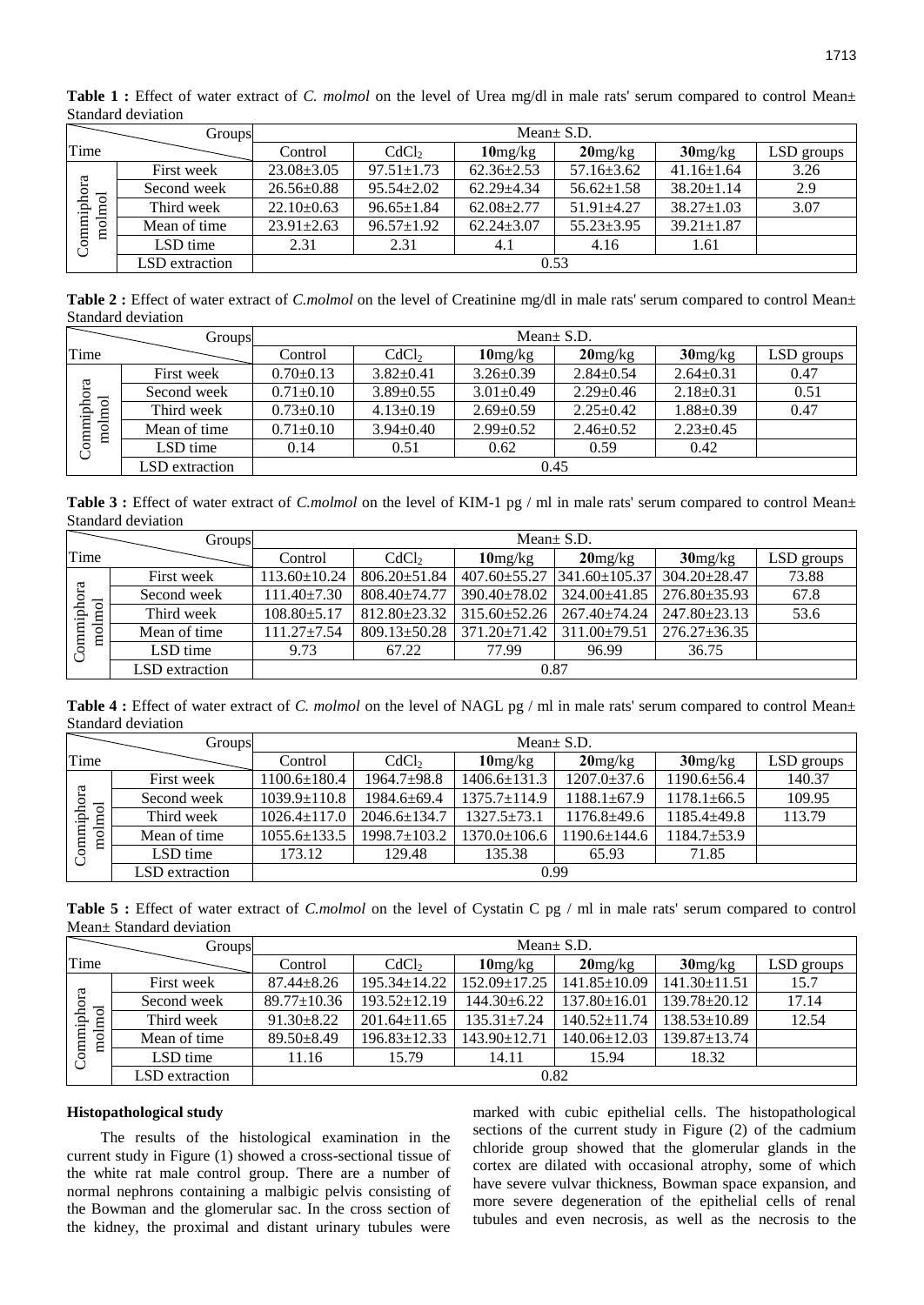|                      | Groups         | Mean $\pm$ S.D.  |                   |                     |                  |                  |            |  |
|----------------------|----------------|------------------|-------------------|---------------------|------------------|------------------|------------|--|
| Time                 |                | Control          | CdCl <sub>2</sub> | 10 <sub>mg/kg</sub> | $20$ mg/kg       | $30$ mg/kg       | LSD groups |  |
| Commiphora<br>molmol | First week     | $23.08 \pm 3.05$ | $97.51 \pm 1.73$  | $62.36 \pm 2.53$    | $57.16 \pm 3.62$ | $41.16 \pm 1.64$ | 3.26       |  |
|                      | Second week    | $26.56 \pm 0.88$ | $95.54 + 2.02$    | $62.29 + 4.34$      | $56.62 \pm 1.58$ | $38.20 \pm 1.14$ | 2.9        |  |
|                      | Third week     | $22.10\pm0.63$   | $96.65 \pm 1.84$  | $62.08 \pm 2.77$    | $51.91 + 4.27$   | $38.27 \pm 1.03$ | 3.07       |  |
|                      | Mean of time   | $23.91 \pm 2.63$ | $96.57 \pm 1.92$  | $62.24 + 3.07$      | $55.23 \pm 3.95$ | $39.21 \pm 1.87$ |            |  |
|                      | LSD time       | 2.31             | 2.31              | 4.1                 | 4.16             | 1.61             |            |  |
|                      | LSD extraction | 0.53             |                   |                     |                  |                  |            |  |

Table 1 : Effect of water extract of *C. molmol* on the level of Urea mg/dl in male rats' serum compared to control Mean $\pm$ Standard deviation

Table 2 : Effect of water extract of *C.molmol* on the level of Creatinine mg/dl in male rats' serum compared to control Mean± Standard deviation

|                                     | Groups         | Mean $\pm$ S.D. |                   |                     |                 |                 |              |
|-------------------------------------|----------------|-----------------|-------------------|---------------------|-----------------|-----------------|--------------|
| Time                                |                | Control         | CdCl <sub>2</sub> | 10 <sub>mg/kg</sub> | $20$ mg/kg      | $30$ mg/kg      | $LSD$ groups |
| g<br>ನ<br>hoiph<br>$\lim$<br>Ξ<br>g | First week     | $0.70 \pm 0.13$ | $3.82 \pm 0.41$   | $3.26 \pm 0.39$     | $2.84 \pm 0.54$ | $2.64 \pm 0.31$ | 0.47         |
|                                     | Second week    | $0.71 \pm 0.10$ | $3.89 \pm 0.55$   | $3.01 \pm 0.49$     | $2.29 \pm 0.46$ | $2.18 \pm 0.31$ | 0.51         |
|                                     | Third week     | $0.73 \pm 0.10$ | $4.13 \pm 0.19$   | $2.69 \pm 0.59$     | $2.25+0.42$     | $1.88 \pm 0.39$ | 0.47         |
|                                     | Mean of time   | $0.71 \pm 0.10$ | $3.94 \pm 0.40$   | $2.99 \pm 0.52$     | $2.46 \pm 0.52$ | $2.23+0.45$     |              |
|                                     | LSD time       | 0.14            | 0.51              | 0.62                | 0.59            | 0.42            |              |
|                                     | LSD extraction | 0.45            |                   |                     |                 |                 |              |

Table 3 : Effect of water extract of *C.molmol* on the level of KIM-1 pg / ml in male rats' serum compared to control Mean± Standard deviation

|                                  | Groups         | Mean $\pm$ S.D.   |                    |                     |                                          |                    |            |  |
|----------------------------------|----------------|-------------------|--------------------|---------------------|------------------------------------------|--------------------|------------|--|
| Time                             |                | Control           | CdCl <sub>2</sub>  | 10 <sub>mg/kg</sub> | $20$ mg/kg                               | $30$ mg/kg         | LSD groups |  |
| ommiphora<br>$_{\rm o/mol}$<br>Ξ | First week     | 113.60±10.24      | $806.20 \pm 51.84$ |                     | $407.60 \pm 55.27$   341.60 $\pm 105.37$ | $304.20 \pm 28.47$ | 73.88      |  |
|                                  | Second week    | $111.40 \pm 7.30$ | $808.40 \pm 74.77$ | $390.40 \pm 78.02$  | $324.00 + 41.85$                         | $276.80 \pm 35.93$ | 67.8       |  |
|                                  | Third week     | $108.80 \pm 5.17$ | 812.80±23.32       | $315.60 \pm 52.26$  | $267.40 \pm 74.24$                       | $247.80 + 23.13$   | 53.6       |  |
|                                  | Mean of time   | $111.27 \pm 7.54$ | $809.13 \pm 50.28$ | $371.20 \pm 71.42$  | $311.00 \pm 79.51$                       | $276.27 \pm 36.35$ |            |  |
|                                  | LSD time       | 9.73              | 67.22              | 77.99               | 96.99                                    | 36.75              |            |  |
|                                  | LSD extraction | 0.87              |                    |                     |                                          |                    |            |  |

Table 4 : Effect of water extract of *C. molmol* on the level of NAGL pg / ml in male rats' serum compared to control Mean± Standard deviation

|                          | Groups         | Mean $\pm$ S.D.    |                    |                     |                    |                   |            |  |
|--------------------------|----------------|--------------------|--------------------|---------------------|--------------------|-------------------|------------|--|
| Time                     |                | Control            | CdCl <sub>2</sub>  | 10 <sub>mg/kg</sub> | $20$ mg/kg         | $30$ mg/kg        | LSD groups |  |
| Commiphora<br>pa<br>moln | First week     | $1100.6 \pm 180.4$ | 1964.7±98.8        | $1406.6 \pm 131.3$  | $1207.0 \pm 37.6$  | $1190.6 \pm 56.4$ | 140.37     |  |
|                          | Second week    | $1039.9 \pm 110.8$ | 1984.6±69.4        | $1375.7 \pm 114.9$  | $1188.1 \pm 67.9$  | $1178.1 \pm 66.5$ | 109.95     |  |
|                          | Third week     | $1026.4 \pm 117.0$ | $2046.6 \pm 134.7$ | $1327.5 + 73.1$     | $1176.8 + 49.6$    | $1185.4 + 49.8$   | 113.79     |  |
|                          | Mean of time   | $1055.6 \pm 133.5$ | 1998.7±103.2       | $1370.0 \pm 106.6$  | $1190.6 \pm 144.6$ | 1184.7±53.9       |            |  |
|                          | LSD time       | 173.12             | 129.48             | 135.38              | 65.93              | 71.85             |            |  |
|                          | LSD extraction | 0.99               |                    |                     |                    |                   |            |  |

**Table 5 :** Effect of water extract of *C.molmol* on the level of Cystatin C pg / ml in male rats' serum compared to control Mean± Standard deviation

|                      | Groups         | Mean $\pm$ S.D.  |                    |                     |                    |                    |            |
|----------------------|----------------|------------------|--------------------|---------------------|--------------------|--------------------|------------|
| Time                 |                | Control          | CdCl <sub>2</sub>  | 10 <sub>mg/kg</sub> | $20$ mg/kg         | $30$ mg/kg         | LSD groups |
| Commiphora<br>molmol | First week     | $87.44 \pm 8.26$ | 195.34±14.22       | $152.09 \pm 17.25$  | $141.85 \pm 10.09$ | $141.30 \pm 11.51$ | 15.7       |
|                      | Second week    | 89.77±10.36      | $193.52 \pm 12.19$ | $144.30 \pm 6.22$   | $137.80 \pm 16.01$ | $139.78 \pm 20.12$ | 17.14      |
|                      | Third week     | $91.30 \pm 8.22$ | $201.64 \pm 11.65$ | $135.31 \pm 7.24$   | $140.52 \pm 11.74$ | $138.53 \pm 10.89$ | 12.54      |
|                      | Mean of time   | $89.50 \pm 8.49$ | $196.83 \pm 12.33$ | $143.90 \pm 12.71$  | $140.06 \pm 12.03$ | $139.87 \pm 13.74$ |            |
|                      | LSD time       | 11.16            | 15.79              | 14.11               | 15.94              | 18.32              |            |
|                      | LSD extraction | 0.82             |                    |                     |                    |                    |            |

### **Histopathological study**

The results of the histological examination in the current study in Figure (1) showed a cross-sectional tissue of the white rat male control group. There are a number of normal nephrons containing a malbigic pelvis consisting of the Bowman and the glomerular sac. In the cross section of the kidney, the proximal and distant urinary tubules were marked with cubic epithelial cells. The histopathological sections of the current study in Figure (2) of the cadmium chloride group showed that the glomerular glands in the cortex are dilated with occasional atrophy, some of which have severe vulvar thickness, Bowman space expansion, and more severe degeneration of the epithelial cells of renal tubules and even necrosis, as well as the necrosis to the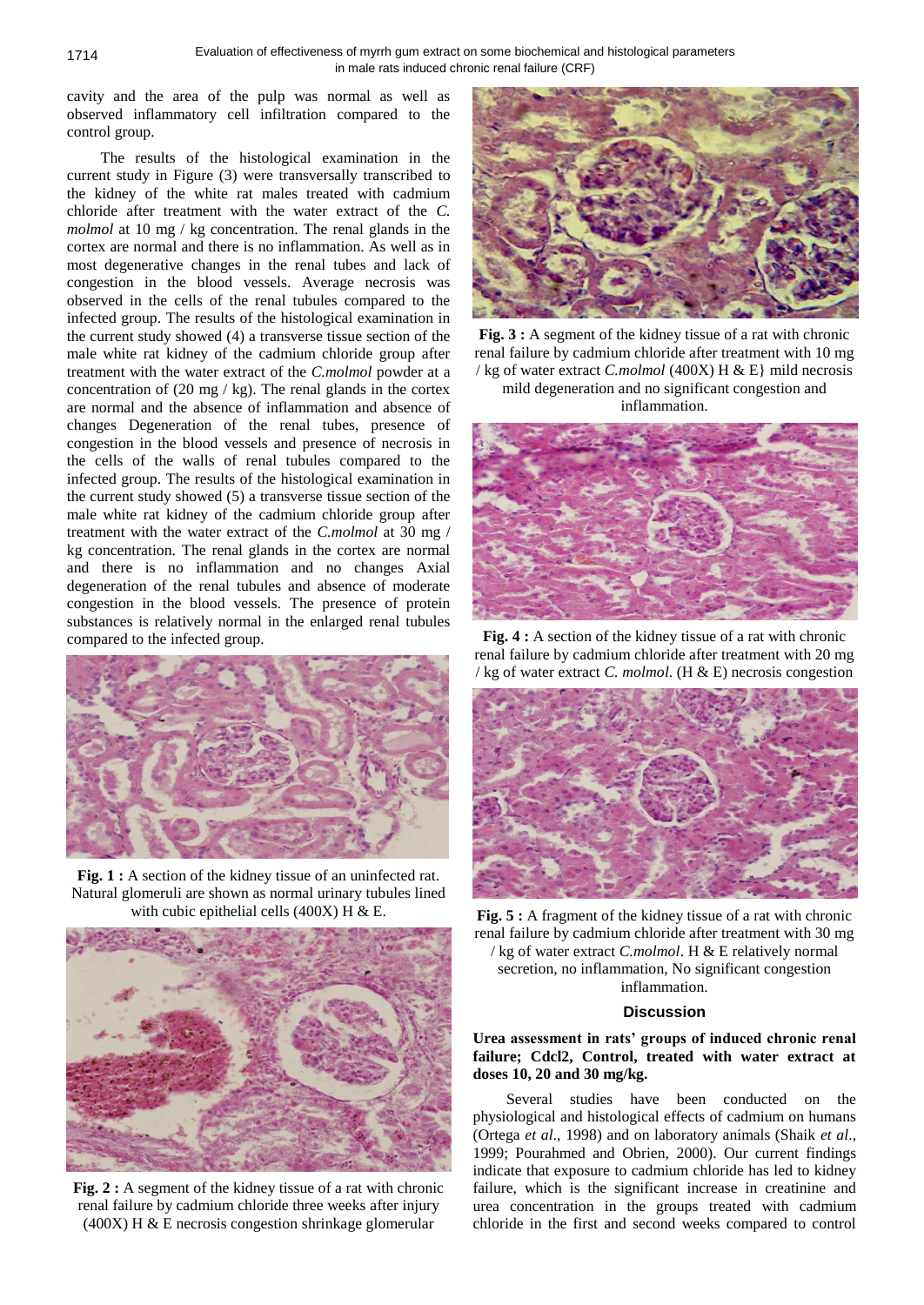cavity and the area of the pulp was normal as well as observed inflammatory cell infiltration compared to the control group.

The results of the histological examination in the current study in Figure (3) were transversally transcribed to the kidney of the white rat males treated with cadmium chloride after treatment with the water extract of the *C. molmol* at 10 mg / kg concentration. The renal glands in the cortex are normal and there is no inflammation. As well as in most degenerative changes in the renal tubes and lack of congestion in the blood vessels. Average necrosis was observed in the cells of the renal tubules compared to the infected group. The results of the histological examination in the current study showed (4) a transverse tissue section of the male white rat kidney of the cadmium chloride group after treatment with the water extract of the *C.molmol* powder at a concentration of  $(20 \text{ mg} / \text{ kg})$ . The renal glands in the cortex are normal and the absence of inflammation and absence of changes Degeneration of the renal tubes, presence of congestion in the blood vessels and presence of necrosis in the cells of the walls of renal tubules compared to the infected group. The results of the histological examination in the current study showed (5) a transverse tissue section of the male white rat kidney of the cadmium chloride group after treatment with the water extract of the *C.molmol* at 30 mg / kg concentration. The renal glands in the cortex are normal and there is no inflammation and no changes Axial degeneration of the renal tubules and absence of moderate congestion in the blood vessels. The presence of protein substances is relatively normal in the enlarged renal tubules compared to the infected group.



**Fig. 1 :** A section of the kidney tissue of an uninfected rat. Natural glomeruli are shown as normal urinary tubules lined with cubic epithelial cells (400X) H  $&$  E.



**Fig. 2 :** A segment of the kidney tissue of a rat with chronic renal failure by cadmium chloride three weeks after injury (400X) H & E necrosis congestion shrinkage glomerular



**Fig. 3 :** A segment of the kidney tissue of a rat with chronic renal failure by cadmium chloride after treatment with 10 mg / kg of water extract *C.molmol* (400X) H & E} mild necrosis mild degeneration and no significant congestion and inflammation.



**Fig. 4 :** A section of the kidney tissue of a rat with chronic renal failure by cadmium chloride after treatment with 20 mg / kg of water extract *C. molmol*. (H & E) necrosis congestion



**Fig. 5 :** A fragment of the kidney tissue of a rat with chronic renal failure by cadmium chloride after treatment with 30 mg / kg of water extract *C.molmol*. H & E relatively normal secretion, no inflammation, No significant congestion inflammation.

# **Discussion**

## **Urea assessment in rats' groups of induced chronic renal failure; Cdcl2, Control, treated with water extract at doses 10, 20 and 30 mg/kg.**

Several studies have been conducted on the physiological and histological effects of cadmium on humans (Ortega *et al*., 1998) and on laboratory animals (Shaik *et al*., 1999; Pourahmed and Obrien, 2000). Our current findings indicate that exposure to cadmium chloride has led to kidney failure, which is the significant increase in creatinine and urea concentration in the groups treated with cadmium chloride in the first and second weeks compared to control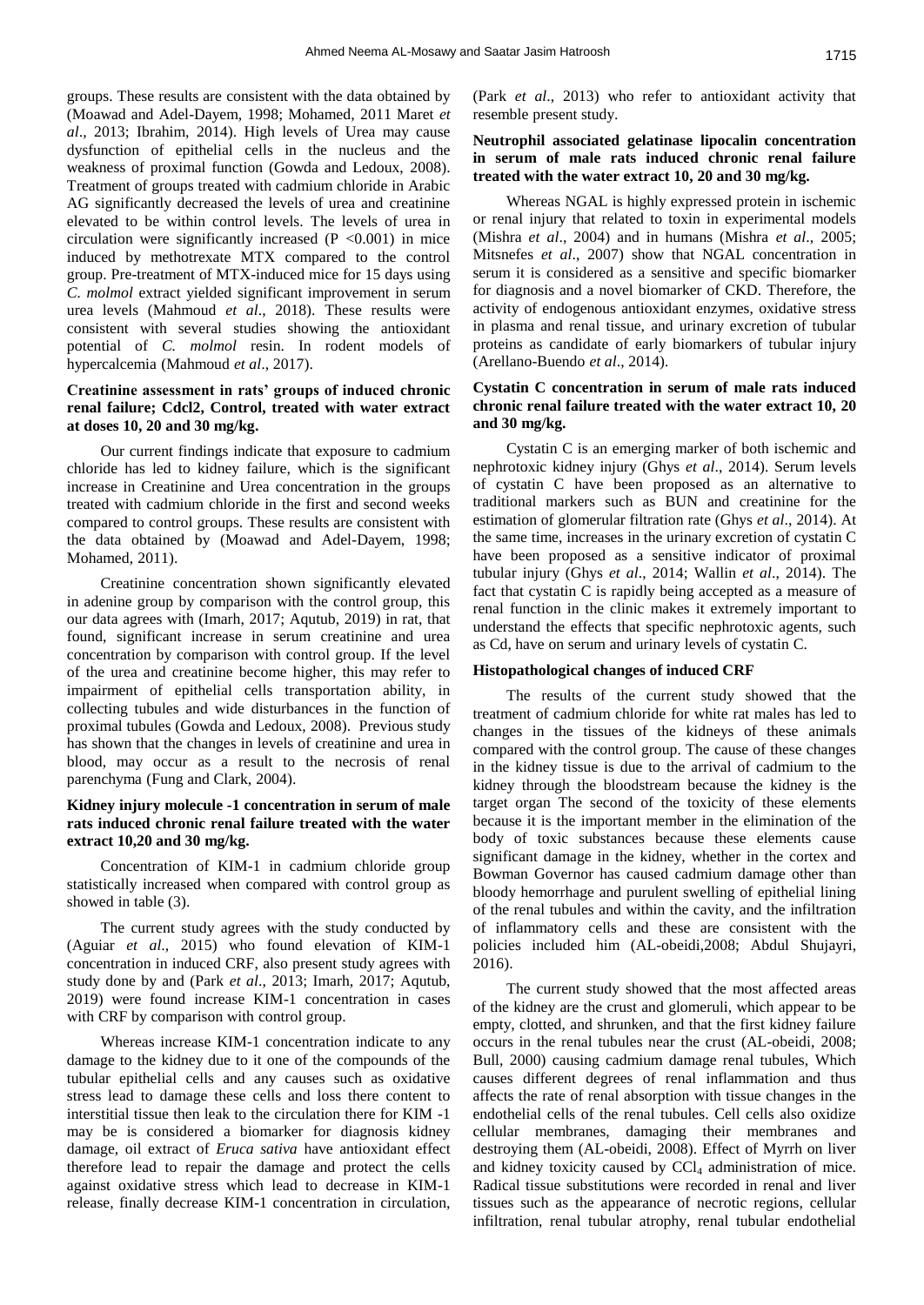groups. These results are consistent with the data obtained by (Moawad and Adel-Dayem, 1998; Mohamed, 2011 Maret *et al*., 2013; Ibrahim, 2014). High levels of Urea may cause dysfunction of epithelial cells in the nucleus and the weakness of proximal function (Gowda and Ledoux, 2008). Treatment of groups treated with cadmium chloride in Arabic AG significantly decreased the levels of urea and creatinine elevated to be within control levels. The levels of urea in circulation were significantly increased  $(P \le 0.001)$  in mice induced by methotrexate MTX compared to the control group. Pre-treatment of MTX-induced mice for 15 days using *C. molmol* extract yielded significant improvement in serum urea levels (Mahmoud *et al*., 2018). These results were consistent with several studies showing the antioxidant potential of *C. molmol* resin. In rodent models of hypercalcemia (Mahmoud *et al*., 2017).

## **Creatinine assessment in rats' groups of induced chronic renal failure; Cdcl2, Control, treated with water extract at doses 10, 20 and 30 mg/kg.**

Our current findings indicate that exposure to cadmium chloride has led to kidney failure, which is the significant increase in Creatinine and Urea concentration in the groups treated with cadmium chloride in the first and second weeks compared to control groups. These results are consistent with the data obtained by (Moawad and Adel-Dayem, 1998; Mohamed, 2011).

Creatinine concentration shown significantly elevated in adenine group by comparison with the control group, this our data agrees with (Imarh, 2017; Aqutub, 2019) in rat, that found, significant increase in serum creatinine and urea concentration by comparison with control group. If the level of the urea and creatinine become higher, this may refer to impairment of epithelial cells transportation ability, in collecting tubules and wide disturbances in the function of proximal tubules (Gowda and Ledoux, 2008). Previous study has shown that the changes in levels of creatinine and urea in blood, may occur as a result to the necrosis of renal parenchyma (Fung and Clark, 2004).

## **Kidney injury molecule -1 concentration in serum of male rats induced chronic renal failure treated with the water extract 10,20 and 30 mg/kg.**

Concentration of KIM-1 in cadmium chloride group statistically increased when compared with control group as showed in table (3).

The current study agrees with the study conducted by (Aguiar *et al*., 2015) who found elevation of KIM-1 concentration in induced CRF, also present study agrees with study done by and (Park *et al*., 2013; Imarh, 2017; Aqutub, 2019) were found increase KIM-1 concentration in cases with CRF by comparison with control group.

Whereas increase KIM-1 concentration indicate to any damage to the kidney due to it one of the compounds of the tubular epithelial cells and any causes such as oxidative stress lead to damage these cells and loss there content to interstitial tissue then leak to the circulation there for KIM -1 may be is considered a biomarker for diagnosis kidney damage, oil extract of *Eruca sativa* have antioxidant effect therefore lead to repair the damage and protect the cells against oxidative stress which lead to decrease in KIM-1 release, finally decrease KIM-1 concentration in circulation, (Park *et al*., 2013) who refer to antioxidant activity that resemble present study.

### **Neutrophil associated gelatinase lipocalin concentration in serum of male rats induced chronic renal failure treated with the water extract 10, 20 and 30 mg/kg.**

Whereas NGAL is highly expressed protein in ischemic or renal injury that related to toxin in experimental models (Mishra *et al*., 2004) and in humans (Mishra *et al*., 2005; Mitsnefes *et al*., 2007) show that NGAL concentration in serum it is considered as a sensitive and specific biomarker for diagnosis and a novel biomarker of CKD. Therefore, the activity of endogenous antioxidant enzymes, oxidative stress in plasma and renal tissue, and urinary excretion of tubular proteins as candidate of early biomarkers of tubular injury (Arellano-Buendo *et al*., 2014).

## **Cystatin C concentration in serum of male rats induced chronic renal failure treated with the water extract 10, 20 and 30 mg/kg.**

Cystatin C is an emerging marker of both ischemic and nephrotoxic kidney injury (Ghys *et al*., 2014). Serum levels of cystatin C have been proposed as an alternative to traditional markers such as BUN and creatinine for the estimation of glomerular filtration rate (Ghys *et al*., 2014). At the same time, increases in the urinary excretion of cystatin C have been proposed as a sensitive indicator of proximal tubular injury (Ghys *et al*., 2014; Wallin *et al*., 2014). The fact that cystatin C is rapidly being accepted as a measure of renal function in the clinic makes it extremely important to understand the effects that specific nephrotoxic agents, such as Cd, have on serum and urinary levels of cystatin C.

### **Histopathological changes of induced CRF**

The results of the current study showed that the treatment of cadmium chloride for white rat males has led to changes in the tissues of the kidneys of these animals compared with the control group. The cause of these changes in the kidney tissue is due to the arrival of cadmium to the kidney through the bloodstream because the kidney is the target organ The second of the toxicity of these elements because it is the important member in the elimination of the body of toxic substances because these elements cause significant damage in the kidney, whether in the cortex and Bowman Governor has caused cadmium damage other than bloody hemorrhage and purulent swelling of epithelial lining of the renal tubules and within the cavity, and the infiltration of inflammatory cells and these are consistent with the policies included him (AL-obeidi,2008; Abdul Shujayri, 2016).

The current study showed that the most affected areas of the kidney are the crust and glomeruli, which appear to be empty, clotted, and shrunken, and that the first kidney failure occurs in the renal tubules near the crust (AL-obeidi, 2008; Bull, 2000) causing cadmium damage renal tubules, Which causes different degrees of renal inflammation and thus affects the rate of renal absorption with tissue changes in the endothelial cells of the renal tubules. Cell cells also oxidize cellular membranes, damaging their membranes and destroying them (AL-obeidi, 2008). Effect of Myrrh on liver and kidney toxicity caused by  $CCl<sub>4</sub>$  administration of mice. Radical tissue substitutions were recorded in renal and liver tissues such as the appearance of necrotic regions, cellular infiltration, renal tubular atrophy, renal tubular endothelial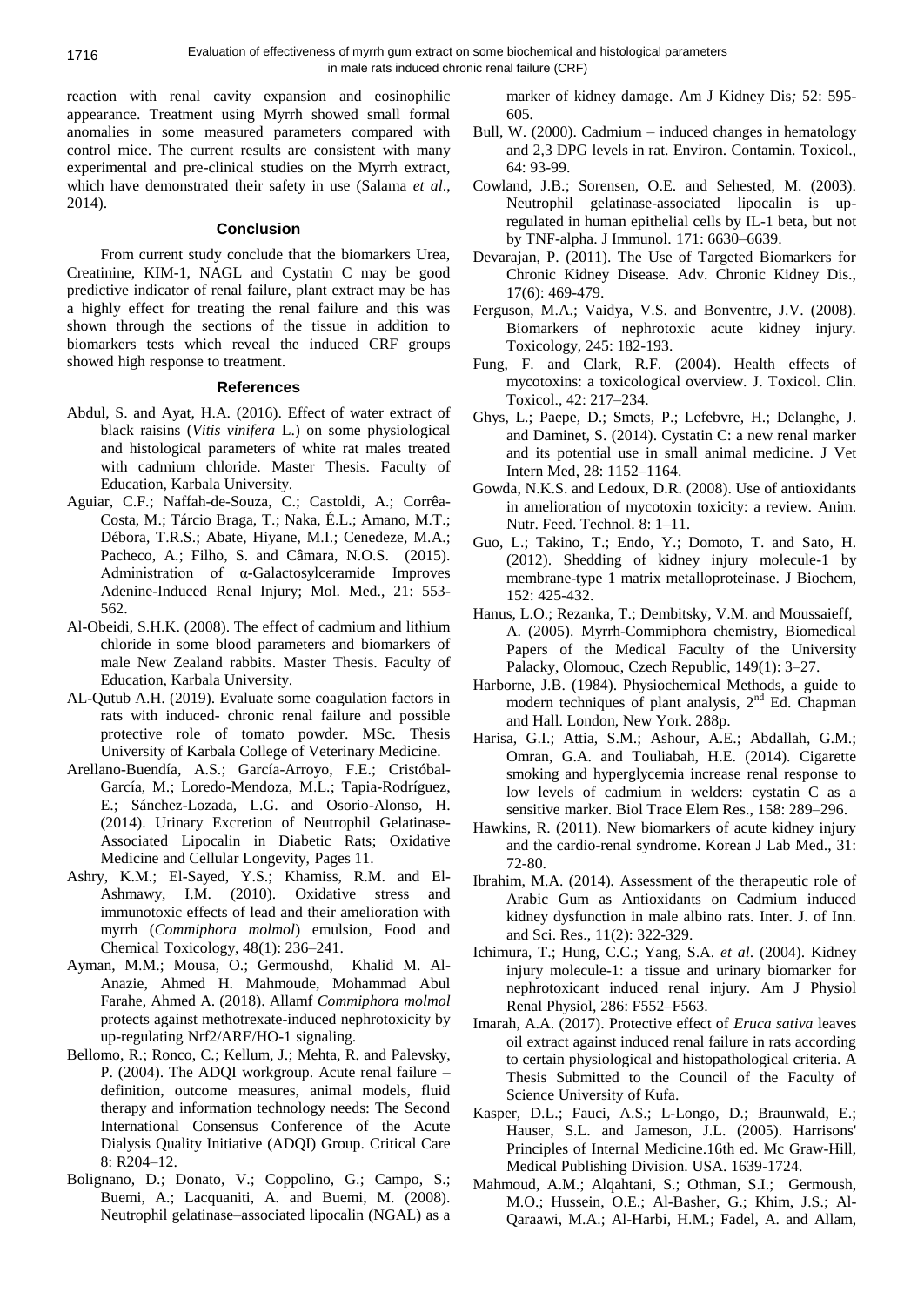reaction with renal cavity expansion and eosinophilic appearance. Treatment using Myrrh showed small formal anomalies in some measured parameters compared with control mice. The current results are consistent with many experimental and pre-clinical studies on the Myrrh extract, which have demonstrated their safety in use (Salama *et al*., 2014).

### **Conclusion**

From current study conclude that the biomarkers Urea, Creatinine, KIM-1, NAGL and Cystatin C may be good predictive indicator of renal failure, plant extract may be has a highly effect for treating the renal failure and this was shown through the sections of the tissue in addition to biomarkers tests which reveal the induced CRF groups showed high response to treatment.

### **References**

- Abdul, S. and Ayat, H.A. (2016). Effect of water extract of black raisins (*Vitis vinifera* L.) on some physiological and histological parameters of white rat males treated with cadmium chloride. Master Thesis. Faculty of Education, Karbala University.
- Aguiar, C.F.; Naffah-de-Souza, C.; Castoldi, A.; Corrêa-Costa, M.; Tárcio Braga, T.; Naka, É.L.; Amano, M.T.; Débora, T.R.S.; Abate, Hiyane, M.I.; Cenedeze, M.A.; Pacheco, A.; Filho, S. and Câmara, N.O.S. (2015). Administration of α-Galactosylceramide Improves Adenine-Induced Renal Injury; Mol. Med., 21: 553- 562.
- Al-Obeidi, S.H.K. (2008). The effect of cadmium and lithium chloride in some blood parameters and biomarkers of male New Zealand rabbits. Master Thesis. Faculty of Education, Karbala University.
- AL-Qutub A.H. (2019). Evaluate some coagulation factors in rats with induced- chronic renal failure and possible protective role of tomato powder. MSc. Thesis University of Karbala College of Veterinary Medicine.
- Arellano-Buendía, A.S.; García-Arroyo, F.E.; Cristóbal-García, M.; Loredo-Mendoza, M.L.; Tapia-Rodríguez, E.; Sánchez-Lozada, L.G. and Osorio-Alonso, H. (2014). Urinary Excretion of Neutrophil Gelatinase-Associated Lipocalin in Diabetic Rats; Oxidative Medicine and Cellular Longevity, Pages 11.
- Ashry, K.M.; El-Sayed, Y.S.; Khamiss, R.M. and El-Ashmawy, I.M. (2010). Oxidative stress and immunotoxic effects of lead and their amelioration with myrrh (*Commiphora molmol*) emulsion, Food and Chemical Toxicology, 48(1): 236–241.
- Ayman, M.M.; Mousa, O.; Germoushd, Khalid M. Al-Anazie, Ahmed H. Mahmoude, Mohammad Abul Farahe, Ahmed A. (2018). Allamf *Commiphora molmol* protects against methotrexate-induced nephrotoxicity by up-regulating Nrf2/ARE/HO-1 signaling.
- Bellomo, R.; Ronco, C.; Kellum, J.; Mehta, R. and Palevsky, P. (2004). The ADQI workgroup. Acute renal failure – definition, outcome measures, animal models, fluid therapy and information technology needs: The Second International Consensus Conference of the Acute Dialysis Quality Initiative (ADQI) Group. Critical Care 8: R204–12.
- Bolignano, D.; Donato, V.; Coppolino, G.; Campo, S.; Buemi, A.; Lacquaniti, A. and Buemi, M. (2008). Neutrophil gelatinase–associated lipocalin (NGAL) as a

marker of kidney damage. Am J Kidney Dis*;* 52: 595- 605*.*

- Bull, W. (2000). Cadmium induced changes in hematology and 2,3 DPG levels in rat. Environ. Contamin. Toxicol., 64: 93-99.
- Cowland, J.B.; Sorensen, O.E. and Sehested, M. (2003). Neutrophil gelatinase-associated lipocalin is upregulated in human epithelial cells by IL-1 beta, but not by TNF-alpha. J Immunol. 171: 6630–6639.
- Devarajan, P. (2011). The Use of Targeted Biomarkers for Chronic Kidney Disease. Adv. Chronic Kidney Dis., 17(6): 469-479.
- Ferguson, M.A.; Vaidya, V.S. and Bonventre, J.V. (2008). Biomarkers of nephrotoxic acute kidney injury. Toxicology, 245: 182-193.
- Fung, F. and Clark, R.F. (2004). Health effects of mycotoxins: a toxicological overview. J. Toxicol. Clin. Toxicol., 42: 217–234.
- Ghys, L.; Paepe, D.; Smets, P.; Lefebvre, H.; Delanghe, J. and Daminet, S. (2014). Cystatin C: a new renal marker and its potential use in small animal medicine. J Vet Intern Med, 28: 1152–1164.
- Gowda, N.K.S. and Ledoux, D.R. (2008). Use of antioxidants in amelioration of mycotoxin toxicity: a review. Anim. Nutr. Feed. Technol. 8: 1–11.
- Guo, L.; Takino, T.; Endo, Y.; Domoto, T. and Sato, H. (2012). Shedding of kidney injury molecule-1 by membrane-type 1 matrix metalloproteinase. J Biochem, 152: 425-432.
- Hanus, L.O.; Rezanka, T.; Dembitsky, V.M. and Moussaieff, A. (2005). Myrrh-Commiphora chemistry, Biomedical Papers of the Medical Faculty of the University Palacky, Olomouc, Czech Republic, 149(1): 3–27.
- Harborne, J.B. (1984). Physiochemical Methods, a guide to modern techniques of plant analysis, 2<sup>nd</sup> Ed. Chapman and Hall. London, New York. 288p.
- Harisa, G.I.; Attia, S.M.; Ashour, A.E.; Abdallah, G.M.; Omran, G.A. and Touliabah, H.E. (2014). Cigarette smoking and hyperglycemia increase renal response to low levels of cadmium in welders: cystatin C as a sensitive marker. Biol Trace Elem Res., 158: 289–296.
- Hawkins, R. (2011). New biomarkers of acute kidney injury and the cardio-renal syndrome. Korean J Lab Med., 31: 72-80.
- Ibrahim, M.A. (2014)*.* Assessment of the therapeutic role of Arabic Gum as Antioxidants on Cadmium induced kidney dysfunction in male albino rats. Inter. J. of Inn. and Sci. Res., 11(2): 322-329.
- Ichimura, T.; Hung, C.C.; Yang, S.A. *et al*. (2004). Kidney injury molecule-1: a tissue and urinary biomarker for nephrotoxicant induced renal injury. Am J Physiol Renal Physiol, 286: F552–F563.
- Imarah, A.A. (2017). Protective effect of *Eruca sativa* leaves oil extract against induced renal failure in rats according to certain physiological and histopathological criteria. A Thesis Submitted to the Council of the Faculty of Science University of Kufa.
- Kasper, D.L.; Fauci, A.S.; L-Longo, D.; Braunwald, E.; Hauser, S.L. and Jameson, J.L. (2005). Harrisons' Principles of Internal Medicine.16th ed. Mc Graw-Hill, Medical Publishing Division. USA. 1639-1724.
- Mahmoud, A.M.; Alqahtani, S.; Othman, S.I.; Germoush, M.O.; Hussein, O.E.; Al-Basher, G.; Khim, J.S.; Al-Qaraawi, M.A.; Al-Harbi, H.M.; Fadel, A. and Allam,